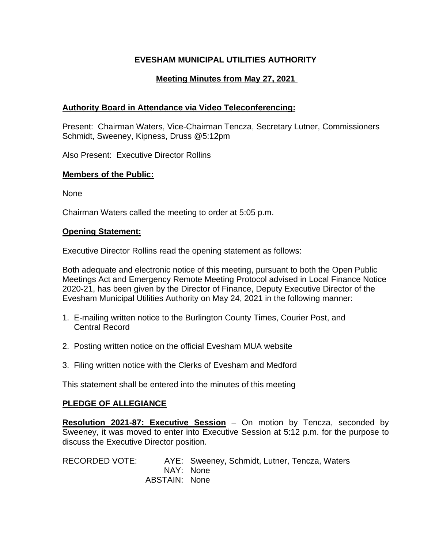## **EVESHAM MUNICIPAL UTILITIES AUTHORITY**

# **Meeting Minutes from May 27, 2021**

### **Authority Board in Attendance via Video Teleconferencing:**

Present: Chairman Waters, Vice-Chairman Tencza, Secretary Lutner, Commissioners Schmidt, Sweeney, Kipness, Druss @5:12pm

Also Present: Executive Director Rollins

#### **Members of the Public:**

None

Chairman Waters called the meeting to order at 5:05 p.m.

#### **Opening Statement:**

Executive Director Rollins read the opening statement as follows:

Both adequate and electronic notice of this meeting, pursuant to both the Open Public Meetings Act and Emergency Remote Meeting Protocol advised in Local Finance Notice 2020-21, has been given by the Director of Finance, Deputy Executive Director of the Evesham Municipal Utilities Authority on May 24, 2021 in the following manner:

- 1. E-mailing written notice to the Burlington County Times, Courier Post, and Central Record
- 2. Posting written notice on the official Evesham MUA website
- 3. Filing written notice with the Clerks of Evesham and Medford

This statement shall be entered into the minutes of this meeting

### **PLEDGE OF ALLEGIANCE**

**Resolution 2021-87: Executive Session** – On motion by Tencza, seconded by Sweeney, it was moved to enter into Executive Session at 5:12 p.m. for the purpose to discuss the Executive Director position.

RECORDED VOTE: AYE: Sweeney, Schmidt, Lutner, Tencza, Waters NAY: None ABSTAIN: None